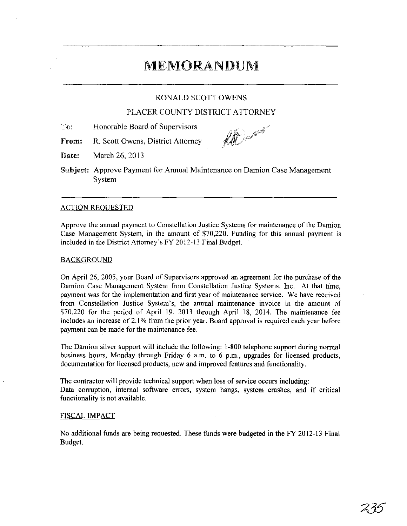# MEMORANDUM

### RONALD SCOTT OWENS

## PLACER COUNTY DISTRICT ATTORNEY

- To: Honorable Board of Supervisors
- From: R. Scott Owens, District Attorney

for the first of the form

Date: March 26, 2013

Subject: Approve Payment for Annual Maintenance on Damion Case Management System

#### ACTION REOUESTED

Approve the annual payment to Constellation Justice Systems for maintenance of the Damian Case Management System, in the amount of \$70,220. Funding for this annual payment is included in the District Attorney's FY 2012-13 Final Budget.

#### BACKGROUND

On April 26, 2005, your Board of Supervisors approved an agreement for the purchase of the Damion Case Management System from Constellation Justice Systems, Inc. At that time, payment was for the implementation and first year of maintenance service. We have received from Constellation Justice System's, the annual maintenance invoice in the amount of \$70,220 for the period of April 19, 2013 through April 18, 2014. The maintenance fee includes an increase of 2.1 % from the prior year. Board approval is required each year before payment can be made for the maintenance fee.

The Damion silver support will include the following: 1-800 telephone support during normal business hours, Monday through Friday 6 a.m. to 6 p.m., upgrades for licensed products, documentation for licensed products, new and improved features and functionality.

The contractor will provide technical support when loss of service occurs including: Data corruption, internal software errors, system hangs, system crashes, and if critical functionality is not available.

#### FISCAL IMPACT

No additional funds are being requested. These funds were budgeted in the FY 2012-13 Final Budget.